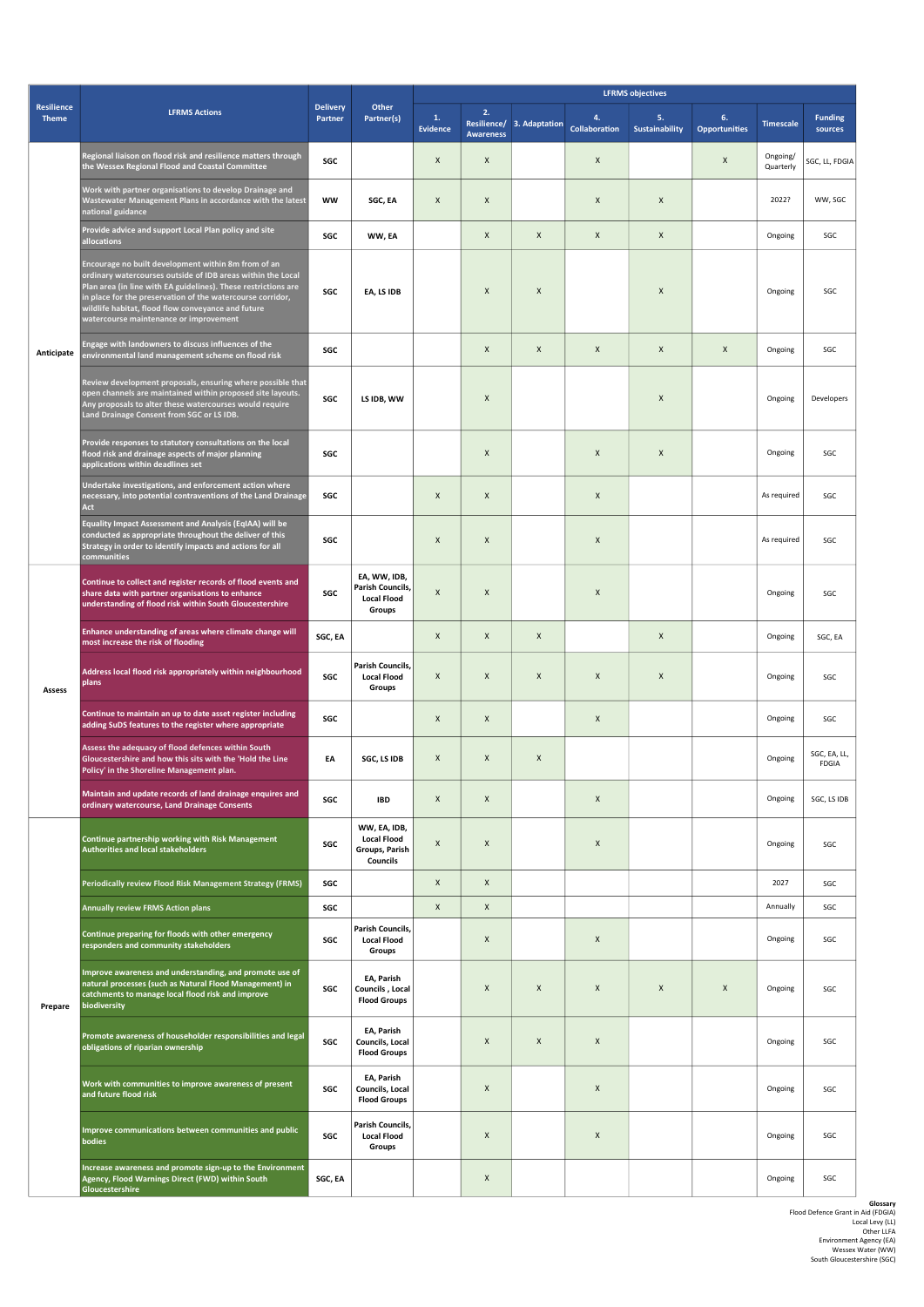|                            | <b>LFRMS Actions</b>                                                                                                                                                                                                                                                                                                                               | <b>Delivery</b><br>Partner | Other<br>Partner(s)                                              | <b>LFRMS objectives</b> |                        |                           |                    |                             |                            |                       |                              |  |
|----------------------------|----------------------------------------------------------------------------------------------------------------------------------------------------------------------------------------------------------------------------------------------------------------------------------------------------------------------------------------------------|----------------------------|------------------------------------------------------------------|-------------------------|------------------------|---------------------------|--------------------|-----------------------------|----------------------------|-----------------------|------------------------------|--|
| Resilience<br><b>Theme</b> |                                                                                                                                                                                                                                                                                                                                                    |                            |                                                                  | 1.<br><b>Evidence</b>   | 2.<br><b>Awareness</b> | Resilience/ 3. Adaptation | 4<br>Collaboration | 5.<br><b>Sustainability</b> | 6.<br><b>Opportunities</b> | <b>Timescale</b>      | <b>Funding</b><br>sources    |  |
| Anticipate                 | Regional liaison on flood risk and resilience matters through<br>the Wessex Regional Flood and Coastal Committee                                                                                                                                                                                                                                   | SGC                        |                                                                  | $\pmb{\times}$          | $\pmb{\times}$         |                           | $\pmb{\times}$     |                             | $\mathsf X$                | Ongoing/<br>Quarterly | SGC, LL, FDGIA               |  |
|                            | Work with partner organisations to develop Drainage and<br>Wastewater Management Plans in accordance with the latest<br>national guidance                                                                                                                                                                                                          | ww                         | SGC, EA                                                          | $\pmb{\chi}$            | X                      |                           | $\mathsf X$        | $\pmb{\times}$              |                            | 2022?                 | WW, SGC                      |  |
|                            | Provide advice and support Local Plan policy and site<br>allocations                                                                                                                                                                                                                                                                               | SGC                        | WW, EA                                                           |                         | X                      | $\pmb{\times}$            | X                  | X                           |                            | Ongoing               | SGC                          |  |
|                            | Encourage no built development within 8m from of an<br>ordinary watercourses outside of IDB areas within the Local<br>Plan area (in line with EA guidelines). These restrictions are<br>in place for the preservation of the watercourse corridor,<br>wildlife habitat, flood flow conveyance and future<br>watercourse maintenance or improvement | SGC                        | EA, LS IDB                                                       |                         | X                      | $\boldsymbol{\mathsf{x}}$ |                    | X                           |                            | Ongoing               | SGC                          |  |
|                            | Engage with landowners to discuss influences of the<br>environmental land management scheme on flood risk                                                                                                                                                                                                                                          | SGC                        |                                                                  |                         | X                      | X                         | $\pmb{\times}$     | $\pmb{\times}$              | $\pmb{\times}$             | Ongoing               | SGC                          |  |
|                            | Review development proposals, ensuring where possible that<br>open channels are maintained within proposed site layouts.<br>Any proposals to alter these watercourses would require<br>Land Drainage Consent from SGC or LS IDB.                                                                                                                   | SGC                        | LS IDB, WW                                                       |                         | X                      |                           |                    | X                           |                            | Ongoing               | Developers                   |  |
|                            | Provide responses to statutory consultations on the local<br>flood risk and drainage aspects of major planning<br>applications within deadlines set                                                                                                                                                                                                | SGC                        |                                                                  |                         | X                      |                           | $\pmb{\times}$     | X                           |                            | Ongoing               | SGC                          |  |
|                            | Undertake investigations, and enforcement action where<br>necessary, into potential contraventions of the Land Drainage<br>Act                                                                                                                                                                                                                     | SGC                        |                                                                  | $\pmb{\times}$          | X                      |                           | $\pmb{\times}$     |                             |                            | As required           | SGC                          |  |
|                            | Equality Impact Assessment and Analysis (EqIAA) will be<br>conducted as appropriate throughout the deliver of this<br>Strategy in order to identify impacts and actions for all<br>communities                                                                                                                                                     | SGC                        |                                                                  | $\pmb{\chi}$            | X                      |                           | $\pmb{\times}$     |                             |                            | As required           | SGC                          |  |
| Assess                     | Continue to collect and register records of flood events and<br>share data with partner organisations to enhance<br>understanding of flood risk within South Gloucestershire                                                                                                                                                                       | SGC                        | EA, WW, IDB,<br>Parish Councils,<br><b>Local Flood</b><br>Groups | $\pmb{\times}$          | X                      |                           | $\pmb{\times}$     |                             |                            | Ongoing               | SGC                          |  |
|                            | Enhance understanding of areas where climate change will<br>most increase the risk of flooding                                                                                                                                                                                                                                                     | SGC, EA                    |                                                                  | $\pmb{\chi}$            | X                      | X                         |                    | $\mathsf X$                 |                            | Ongoing               | SGC, EA                      |  |
|                            | Address local flood risk appropriately within neighbourhood<br>plans                                                                                                                                                                                                                                                                               | SGC                        | Parish Councils,<br><b>Local Flood</b><br>Groups                 | $\pmb{\times}$          | X                      | X                         | $\pmb{\times}$     | X                           |                            | Ongoing               | SGC                          |  |
|                            | Continue to maintain an up to date asset register including<br>adding SuDS features to the register where appropriate                                                                                                                                                                                                                              | SGC                        |                                                                  | $\pmb{\chi}$            | X                      |                           | $\pmb{\times}$     |                             |                            | Ongoing               | SGC                          |  |
|                            | Assess the adequacy of flood defences within South<br>Gloucestershire and how this sits with the 'Hold the Line<br>Policy' in the Shoreline Management plan.                                                                                                                                                                                       | EA                         | SGC, LS IDB                                                      | $\pmb{\times}$          | X                      | X                         |                    |                             |                            | Ongoing               | SGC, EA, LL,<br><b>FDGIA</b> |  |
|                            | Maintain and update records of land drainage enquires and<br>ordinary watercourse, Land Drainage Consents                                                                                                                                                                                                                                          | SGC                        | <b>IBD</b>                                                       | $\pmb{\times}$          | X                      |                           | $\pmb{\times}$     |                             |                            | Ongoing               | SGC, LS IDB                  |  |
| Prepare                    | Continue partnership working with Risk Management<br>Authorities and local stakeholders                                                                                                                                                                                                                                                            | SGC                        | WW, EA, IDB,<br><b>Local Flood</b><br>Groups, Parish<br>Councils | $\pmb{\times}$          | X                      |                           | $\pmb{\times}$     |                             |                            | Ongoing               | SGC                          |  |
|                            | Periodically review Flood Risk Management Strategy (FRMS)                                                                                                                                                                                                                                                                                          | SGC                        |                                                                  | $\pmb{\chi}$            | X                      |                           |                    |                             |                            | 2027                  | SGC                          |  |
|                            | <b>Annually review FRMS Action plans</b>                                                                                                                                                                                                                                                                                                           | SGC                        |                                                                  | $\pmb{\times}$          | X                      |                           |                    |                             |                            | Annually              | SGC                          |  |
|                            | Continue preparing for floods with other emergency<br>responders and community stakeholders                                                                                                                                                                                                                                                        | SGC                        | Parish Councils,<br><b>Local Flood</b><br>Groups                 |                         | X                      |                           | $\pmb{\times}$     |                             |                            | Ongoing               | SGC                          |  |
|                            | Improve awareness and understanding, and promote use of<br>natural processes (such as Natural Flood Management) in<br>catchments to manage local flood risk and improve<br>biodiversity                                                                                                                                                            | SGC                        | EA, Parish<br>Councils, Local<br><b>Flood Groups</b>             |                         | X                      | X                         | $\pmb{\times}$     | X                           | $\pmb{\times}$             | Ongoing               | SGC                          |  |
|                            | Promote awareness of householder responsibilities and legal<br>obligations of riparian ownership                                                                                                                                                                                                                                                   | SGC                        | EA, Parish<br>Councils, Local<br><b>Flood Groups</b>             |                         | $\mathsf X$            | X                         | $\pmb{\times}$     |                             |                            | Ongoing               | SGC                          |  |
|                            | Work with communities to improve awareness of present<br>and future flood risk                                                                                                                                                                                                                                                                     | SGC                        | EA, Parish<br>Councils, Local<br><b>Flood Groups</b>             |                         | X                      |                           | $\pmb{\times}$     |                             |                            | Ongoing               | SGC                          |  |
|                            | Improve communications between communities and public<br>bodies                                                                                                                                                                                                                                                                                    | SGC                        | Parish Councils,<br><b>Local Flood</b><br>Groups                 |                         | X                      |                           | $\pmb{\times}$     |                             |                            | Ongoing               | SGC                          |  |
|                            | Increase awareness and promote sign-up to the Environment<br>Agency, Flood Warnings Direct (FWD) within South<br>Gloucestershire                                                                                                                                                                                                                   | SGC, EA                    |                                                                  |                         | X                      |                           |                    |                             |                            | Ongoing               | SGC                          |  |

Glossary<br>
Flood Defence Grant in Aid (FDGIA)<br>
Local Levy (LL)<br>
Other LLFA<br>
Environment Agency (EA)<br>
Wessex Water (WW)<br>
Wessex Water (WW)<br>
South Gloucestershire (SGC)